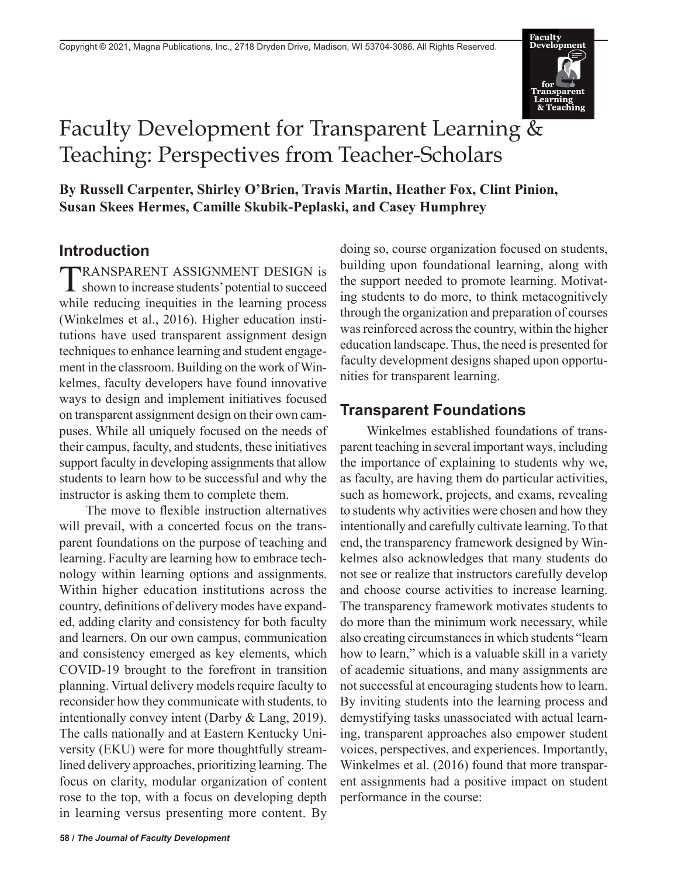

# Faculty Development for Transparent Learning & Teaching: Perspectives from Teacher-Scholars

**By Russell Carpenter, Shirley O'Brien, Travis Martin, Heather Fox, Clint Pinion, Susan Skees Hermes, Camille Skubik-Peplaski, and Casey Humphrey**

#### **Introduction**

TRANSPARENT ASSIGNMENT DESIGN is shown to increase students' potential to succeed while reducing inequities in the learning process (Winkelmes et al., 2016). Higher education institutions have used transparent assignment design techniques to enhance learning and student engagement in the classroom. Building on the work of Winkelmes, faculty developers have found innovative ways to design and implement initiatives focused on transparent assignment design on their own campuses. While all uniquely focused on the needs of their campus, faculty, and students, these initiatives support faculty in developing assignments that allow students to learn how to be successful and why the instructor is asking them to complete them.

The move to flexible instruction alternatives will prevail, with a concerted focus on the transparent foundations on the purpose of teaching and learning. Faculty are learning how to embrace technology within learning options and assignments. Within higher education institutions across the country, definitions of delivery modes have expanded, adding clarity and consistency for both faculty and learners. On our own campus, communication and consistency emerged as key elements, which COVID-19 brought to the forefront in transition planning. Virtual delivery models require faculty to reconsider how they communicate with students, to intentionally convey intent (Darby & Lang, 2019). The calls nationally and at Eastern Kentucky University (EKU) were for more thoughtfully streamlined delivery approaches, prioritizing learning. The focus on clarity, modular organization of content rose to the top, with a focus on developing depth in learning versus presenting more content. By

doing so, course organization focused on students, building upon foundational learning, along with the support needed to promote learning. Motivating students to do more, to think metacognitively through the organization and preparation of courses was reinforced across the country, within the higher education landscape. Thus, the need is presented for faculty development designs shaped upon opportunities for transparent learning.

## **Transparent Foundations**

Winkelmes established foundations of transparent teaching in several important ways, including the importance of explaining to students why we, as faculty, are having them do particular activities, such as homework, projects, and exams, revealing to students why activities were chosen and how they intentionally and carefully cultivate learning. To that end, the transparency framework designed by Winkelmes also acknowledges that many students do not see or realize that instructors carefully develop and choose course activities to increase learning. The transparency framework motivates students to do more than the minimum work necessary, while also creating circumstances in which students "learn how to learn," which is a valuable skill in a variety of academic situations, and many assignments are not successful at encouraging students how to learn. By inviting students into the learning process and demystifying tasks unassociated with actual learning, transparent approaches also empower student voices, perspectives, and experiences. Importantly, Winkelmes et al. (2016) found that more transparent assignments had a positive impact on student performance in the course: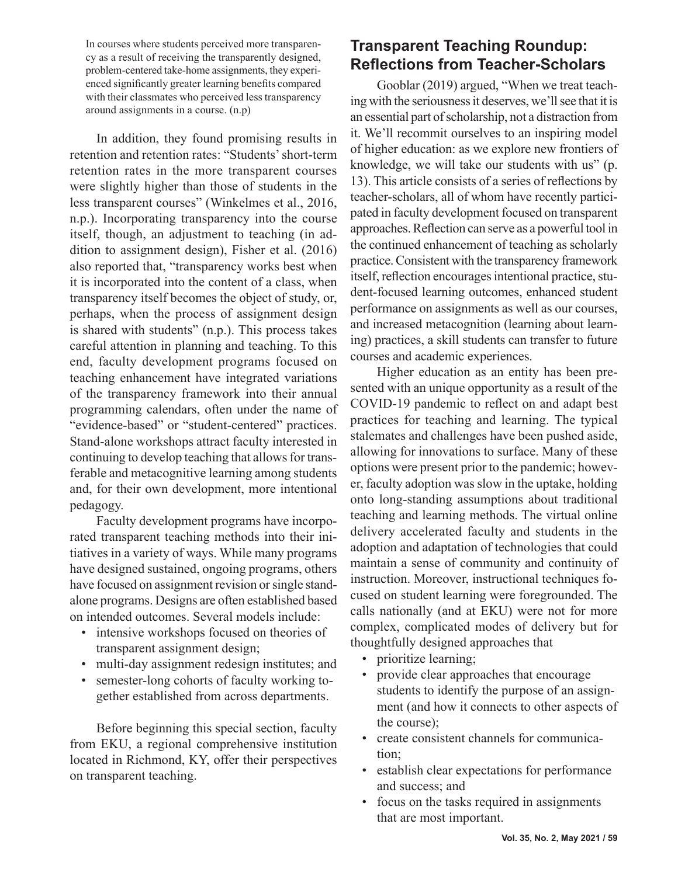In courses where students perceived more transparency as a result of receiving the transparently designed, problem-centered take-home assignments, they experienced significantly greater learning benefits compared with their classmates who perceived less transparency around assignments in a course. (n.p)

In addition, they found promising results in retention and retention rates: "Students' short-term retention rates in the more transparent courses were slightly higher than those of students in the less transparent courses" (Winkelmes et al., 2016, n.p.). Incorporating transparency into the course itself, though, an adjustment to teaching (in addition to assignment design), Fisher et al. (2016) also reported that, "transparency works best when it is incorporated into the content of a class, when transparency itself becomes the object of study, or, perhaps, when the process of assignment design is shared with students" (n.p.). This process takes careful attention in planning and teaching. To this end, faculty development programs focused on teaching enhancement have integrated variations of the transparency framework into their annual programming calendars, often under the name of "evidence-based" or "student-centered" practices. Stand-alone workshops attract faculty interested in continuing to develop teaching that allows for transferable and metacognitive learning among students and, for their own development, more intentional pedagogy.

Faculty development programs have incorporated transparent teaching methods into their initiatives in a variety of ways. While many programs have designed sustained, ongoing programs, others have focused on assignment revision or single standalone programs. Designs are often established based on intended outcomes. Several models include:

- intensive workshops focused on theories of transparent assignment design;
- multi-day assignment redesign institutes; and
- semester-long cohorts of faculty working together established from across departments.

Before beginning this special section, faculty from EKU, a regional comprehensive institution located in Richmond, KY, offer their perspectives on transparent teaching.

# **Transparent Teaching Roundup: Reflections from Teacher-Scholars**

Gooblar (2019) argued, "When we treat teaching with the seriousness it deserves, we'll see that it is an essential part of scholarship, not a distraction from it. We'll recommit ourselves to an inspiring model of higher education: as we explore new frontiers of knowledge, we will take our students with us" (p. 13). This article consists of a series of reflections by teacher-scholars, all of whom have recently participated in faculty development focused on transparent approaches. Reflection can serve as a powerful tool in the continued enhancement of teaching as scholarly practice. Consistent with the transparency framework itself, reflection encourages intentional practice, student-focused learning outcomes, enhanced student performance on assignments as well as our courses, and increased metacognition (learning about learning) practices, a skill students can transfer to future courses and academic experiences.

Higher education as an entity has been presented with an unique opportunity as a result of the COVID-19 pandemic to reflect on and adapt best practices for teaching and learning. The typical stalemates and challenges have been pushed aside, allowing for innovations to surface. Many of these options were present prior to the pandemic; however, faculty adoption was slow in the uptake, holding onto long-standing assumptions about traditional teaching and learning methods. The virtual online delivery accelerated faculty and students in the adoption and adaptation of technologies that could maintain a sense of community and continuity of instruction. Moreover, instructional techniques focused on student learning were foregrounded. The calls nationally (and at EKU) were not for more complex, complicated modes of delivery but for thoughtfully designed approaches that

- prioritize learning;
- provide clear approaches that encourage students to identify the purpose of an assignment (and how it connects to other aspects of the course);
- create consistent channels for communication;
- establish clear expectations for performance and success; and
- focus on the tasks required in assignments that are most important.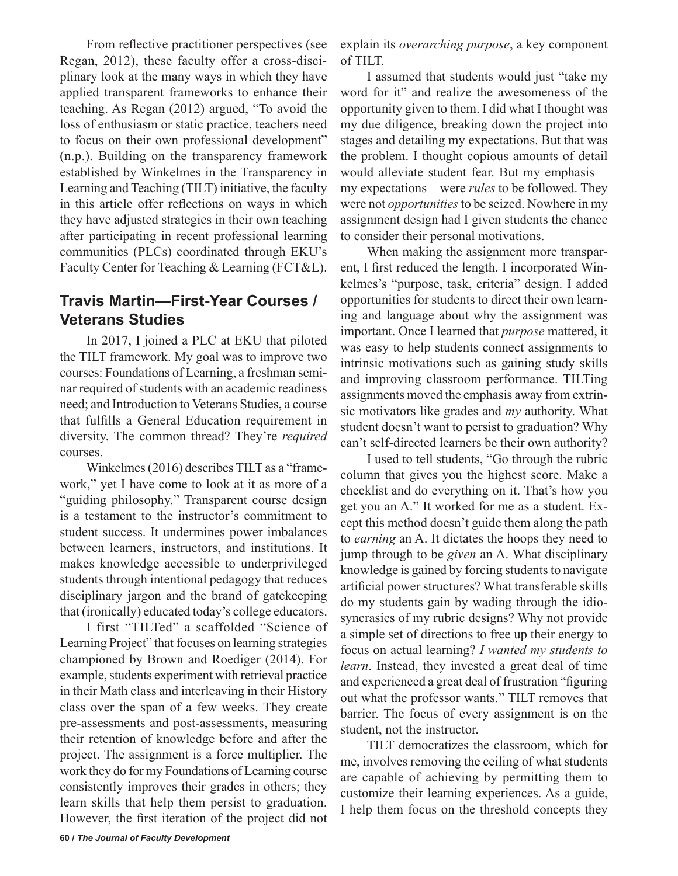From reflective practitioner perspectives (see Regan, 2012), these faculty offer a cross-disciplinary look at the many ways in which they have applied transparent frameworks to enhance their teaching. As Regan (2012) argued, "To avoid the loss of enthusiasm or static practice, teachers need to focus on their own professional development" (n.p.). Building on the transparency framework established by Winkelmes in the Transparency in Learning and Teaching (TILT) initiative, the faculty in this article offer reflections on ways in which they have adjusted strategies in their own teaching after participating in recent professional learning communities (PLCs) coordinated through EKU's Faculty Center for Teaching & Learning (FCT&L).

#### **Travis Martin—First-Year Courses / Veterans Studies**

In 2017, I joined a PLC at EKU that piloted the TILT framework. My goal was to improve two courses: Foundations of Learning, a freshman seminar required of students with an academic readiness need; and Introduction to Veterans Studies, a course that fulfills a General Education requirement in diversity. The common thread? They're *required* courses.

Winkelmes (2016) describes TILT as a "framework," yet I have come to look at it as more of a "guiding philosophy." Transparent course design is a testament to the instructor's commitment to student success. It undermines power imbalances between learners, instructors, and institutions. It makes knowledge accessible to underprivileged students through intentional pedagogy that reduces disciplinary jargon and the brand of gatekeeping that (ironically) educated today's college educators.

I first "TILTed" a scaffolded "Science of Learning Project" that focuses on learning strategies championed by Brown and Roediger (2014). For example, students experiment with retrieval practice in their Math class and interleaving in their History class over the span of a few weeks. They create pre-assessments and post-assessments, measuring their retention of knowledge before and after the project. The assignment is a force multiplier. The work they do for my Foundations of Learning course consistently improves their grades in others; they learn skills that help them persist to graduation. However, the first iteration of the project did not

explain its *overarching purpose*, a key component of TILT.

I assumed that students would just "take my word for it" and realize the awesomeness of the opportunity given to them. I did what I thought was my due diligence, breaking down the project into stages and detailing my expectations. But that was the problem. I thought copious amounts of detail would alleviate student fear. But my emphasis my expectations—were *rules* to be followed. They were not *opportunities* to be seized. Nowhere in my assignment design had I given students the chance to consider their personal motivations.

When making the assignment more transparent, I first reduced the length. I incorporated Winkelmes's "purpose, task, criteria" design. I added opportunities for students to direct their own learning and language about why the assignment was important. Once I learned that *purpose* mattered, it was easy to help students connect assignments to intrinsic motivations such as gaining study skills and improving classroom performance. TILTing assignments moved the emphasis away from extrinsic motivators like grades and *my* authority. What student doesn't want to persist to graduation? Why can't self-directed learners be their own authority?

I used to tell students, "Go through the rubric column that gives you the highest score. Make a checklist and do everything on it. That's how you get you an A." It worked for me as a student. Except this method doesn't guide them along the path to *earning* an A. It dictates the hoops they need to jump through to be *given* an A. What disciplinary knowledge is gained by forcing students to navigate artificial power structures? What transferable skills do my students gain by wading through the idiosyncrasies of my rubric designs? Why not provide a simple set of directions to free up their energy to focus on actual learning? *I wanted my students to learn*. Instead, they invested a great deal of time and experienced a great deal of frustration "figuring out what the professor wants." TILT removes that barrier. The focus of every assignment is on the student, not the instructor.

TILT democratizes the classroom, which for me, involves removing the ceiling of what students are capable of achieving by permitting them to customize their learning experiences. As a guide, I help them focus on the threshold concepts they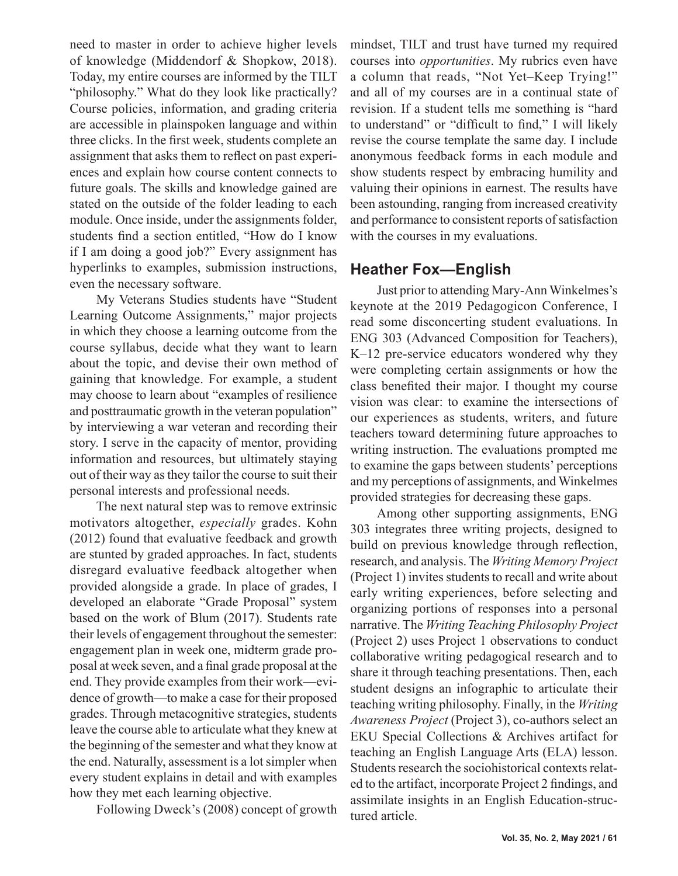need to master in order to achieve higher levels of knowledge (Middendorf & Shopkow, 2018). Today, my entire courses are informed by the TILT "philosophy." What do they look like practically? Course policies, information, and grading criteria are accessible in plainspoken language and within three clicks. In the first week, students complete an assignment that asks them to reflect on past experiences and explain how course content connects to future goals. The skills and knowledge gained are stated on the outside of the folder leading to each module. Once inside, under the assignments folder, students find a section entitled, "How do I know if I am doing a good job?" Every assignment has hyperlinks to examples, submission instructions, even the necessary software.

My Veterans Studies students have "Student Learning Outcome Assignments," major projects in which they choose a learning outcome from the course syllabus, decide what they want to learn about the topic, and devise their own method of gaining that knowledge. For example, a student may choose to learn about "examples of resilience and posttraumatic growth in the veteran population" by interviewing a war veteran and recording their story. I serve in the capacity of mentor, providing information and resources, but ultimately staying out of their way as they tailor the course to suit their personal interests and professional needs.

The next natural step was to remove extrinsic motivators altogether, *especially* grades. Kohn (2012) found that evaluative feedback and growth are stunted by graded approaches. In fact, students disregard evaluative feedback altogether when provided alongside a grade. In place of grades, I developed an elaborate "Grade Proposal" system based on the work of Blum (2017). Students rate their levels of engagement throughout the semester: engagement plan in week one, midterm grade proposal at week seven, and a final grade proposal at the end. They provide examples from their work—evidence of growth—to make a case for their proposed grades. Through metacognitive strategies, students leave the course able to articulate what they knew at the beginning of the semester and what they know at the end. Naturally, assessment is a lot simpler when every student explains in detail and with examples how they met each learning objective.

Following Dweck's (2008) concept of growth

mindset, TILT and trust have turned my required courses into *opportunities*. My rubrics even have a column that reads, "Not Yet–Keep Trying!" and all of my courses are in a continual state of revision. If a student tells me something is "hard to understand" or "difficult to find," I will likely revise the course template the same day. I include anonymous feedback forms in each module and show students respect by embracing humility and valuing their opinions in earnest. The results have been astounding, ranging from increased creativity and performance to consistent reports of satisfaction with the courses in my evaluations.

#### **Heather Fox—English**

Just prior to attending Mary-Ann Winkelmes's keynote at the 2019 Pedagogicon Conference, I read some disconcerting student evaluations. In ENG 303 (Advanced Composition for Teachers), K–12 pre-service educators wondered why they were completing certain assignments or how the class benefited their major. I thought my course vision was clear: to examine the intersections of our experiences as students, writers, and future teachers toward determining future approaches to writing instruction. The evaluations prompted me to examine the gaps between students' perceptions and my perceptions of assignments, and Winkelmes provided strategies for decreasing these gaps.

Among other supporting assignments, ENG 303 integrates three writing projects, designed to build on previous knowledge through reflection, research, and analysis. The *Writing Memory Project* (Project 1) invites students to recall and write about early writing experiences, before selecting and organizing portions of responses into a personal narrative. The *Writing Teaching Philosophy Project* (Project 2) uses Project 1 observations to conduct collaborative writing pedagogical research and to share it through teaching presentations. Then, each student designs an infographic to articulate their teaching writing philosophy. Finally, in the *Writing Awareness Project* (Project 3), co-authors select an EKU Special Collections & Archives artifact for teaching an English Language Arts (ELA) lesson. Students research the sociohistorical contexts related to the artifact, incorporate Project 2 findings, and assimilate insights in an English Education-structured article.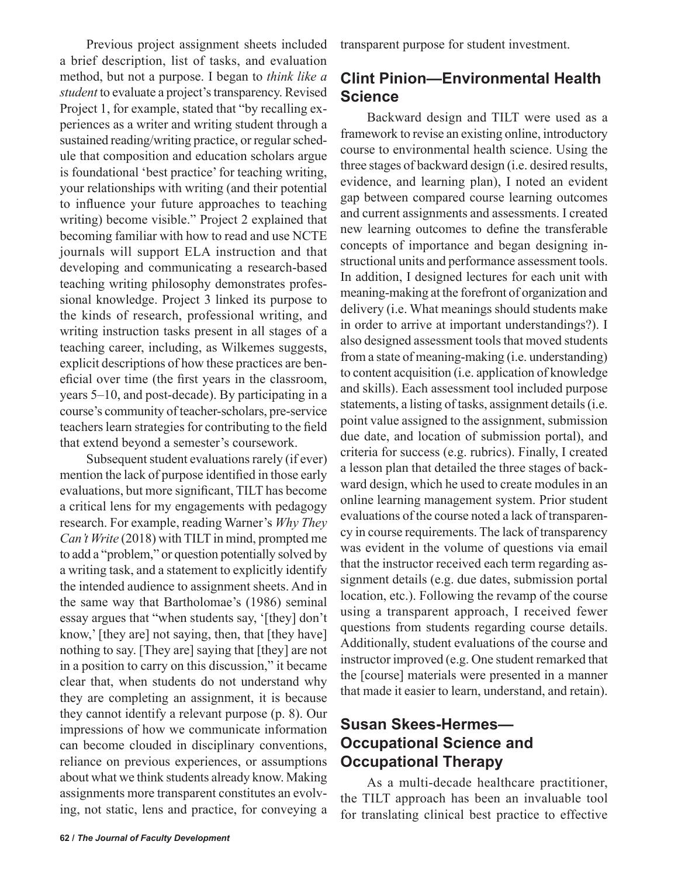Previous project assignment sheets included a brief description, list of tasks, and evaluation method, but not a purpose. I began to *think like a student* to evaluate a project's transparency. Revised Project 1, for example, stated that "by recalling experiences as a writer and writing student through a sustained reading/writing practice, or regular schedule that composition and education scholars argue is foundational 'best practice' for teaching writing, your relationships with writing (and their potential to influence your future approaches to teaching writing) become visible." Project 2 explained that becoming familiar with how to read and use NCTE journals will support ELA instruction and that developing and communicating a research-based teaching writing philosophy demonstrates professional knowledge. Project 3 linked its purpose to the kinds of research, professional writing, and writing instruction tasks present in all stages of a teaching career, including, as Wilkemes suggests, explicit descriptions of how these practices are beneficial over time (the first years in the classroom, years 5–10, and post-decade). By participating in a course's community of teacher-scholars, pre-service teachers learn strategies for contributing to the field that extend beyond a semester's coursework.

Subsequent student evaluations rarely (if ever) mention the lack of purpose identified in those early evaluations, but more significant, TILT has become a critical lens for my engagements with pedagogy research. For example, reading Warner's *Why They Can't Write* (2018) with TILT in mind, prompted me to add a "problem," or question potentially solved by a writing task, and a statement to explicitly identify the intended audience to assignment sheets. And in the same way that Bartholomae's (1986) seminal essay argues that "when students say, '[they] don't know,' [they are] not saying, then, that [they have] nothing to say. [They are] saying that [they] are not in a position to carry on this discussion," it became clear that, when students do not understand why they are completing an assignment, it is because they cannot identify a relevant purpose (p. 8). Our impressions of how we communicate information can become clouded in disciplinary conventions, reliance on previous experiences, or assumptions about what we think students already know. Making assignments more transparent constitutes an evolving, not static, lens and practice, for conveying a transparent purpose for student investment.

# **Clint Pinion—Environmental Health Science**

Backward design and TILT were used as a framework to revise an existing online, introductory course to environmental health science. Using the three stages of backward design (i.e. desired results, evidence, and learning plan), I noted an evident gap between compared course learning outcomes and current assignments and assessments. I created new learning outcomes to define the transferable concepts of importance and began designing instructional units and performance assessment tools. In addition, I designed lectures for each unit with meaning-making at the forefront of organization and delivery (i.e. What meanings should students make in order to arrive at important understandings?). I also designed assessment tools that moved students from a state of meaning-making (i.e. understanding) to content acquisition (i.e. application of knowledge and skills). Each assessment tool included purpose statements, a listing of tasks, assignment details (i.e. point value assigned to the assignment, submission due date, and location of submission portal), and criteria for success (e.g. rubrics). Finally, I created a lesson plan that detailed the three stages of backward design, which he used to create modules in an online learning management system. Prior student evaluations of the course noted a lack of transparency in course requirements. The lack of transparency was evident in the volume of questions via email that the instructor received each term regarding assignment details (e.g. due dates, submission portal location, etc.). Following the revamp of the course using a transparent approach, I received fewer questions from students regarding course details. Additionally, student evaluations of the course and instructor improved (e.g. One student remarked that the [course] materials were presented in a manner that made it easier to learn, understand, and retain).

# **Susan Skees-Hermes— Occupational Science and Occupational Therapy**

As a multi-decade healthcare practitioner, the TILT approach has been an invaluable tool for translating clinical best practice to effective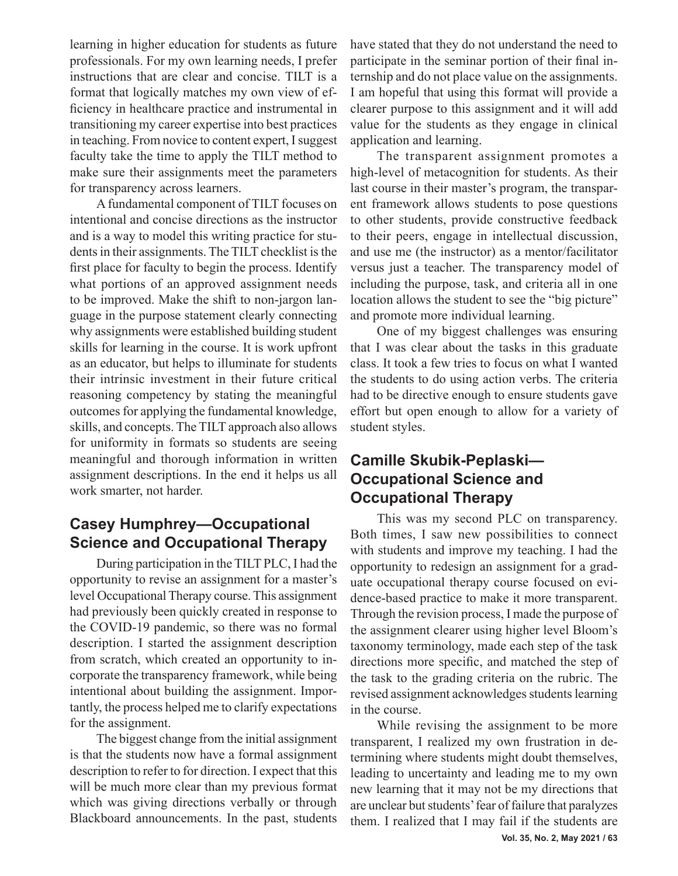learning in higher education for students as future professionals. For my own learning needs, I prefer instructions that are clear and concise. TILT is a format that logically matches my own view of efficiency in healthcare practice and instrumental in transitioning my career expertise into best practices in teaching. From novice to content expert, I suggest faculty take the time to apply the TILT method to make sure their assignments meet the parameters for transparency across learners.

A fundamental component of TILT focuses on intentional and concise directions as the instructor and is a way to model this writing practice for students in their assignments. The TILT checklist is the first place for faculty to begin the process. Identify what portions of an approved assignment needs to be improved. Make the shift to non-jargon language in the purpose statement clearly connecting why assignments were established building student skills for learning in the course. It is work upfront as an educator, but helps to illuminate for students their intrinsic investment in their future critical reasoning competency by stating the meaningful outcomes for applying the fundamental knowledge, skills, and concepts. The TILT approach also allows for uniformity in formats so students are seeing meaningful and thorough information in written assignment descriptions. In the end it helps us all work smarter, not harder.

## **Casey Humphrey—Occupational Science and Occupational Therapy**

During participation in the TILT PLC, I had the opportunity to revise an assignment for a master's level Occupational Therapy course. This assignment had previously been quickly created in response to the COVID-19 pandemic, so there was no formal description. I started the assignment description from scratch, which created an opportunity to incorporate the transparency framework, while being intentional about building the assignment. Importantly, the process helped me to clarify expectations for the assignment.

The biggest change from the initial assignment is that the students now have a formal assignment description to refer to for direction. I expect that this will be much more clear than my previous format which was giving directions verbally or through Blackboard announcements. In the past, students

have stated that they do not understand the need to participate in the seminar portion of their final internship and do not place value on the assignments. I am hopeful that using this format will provide a clearer purpose to this assignment and it will add value for the students as they engage in clinical application and learning.

The transparent assignment promotes a high-level of metacognition for students. As their last course in their master's program, the transparent framework allows students to pose questions to other students, provide constructive feedback to their peers, engage in intellectual discussion, and use me (the instructor) as a mentor/facilitator versus just a teacher. The transparency model of including the purpose, task, and criteria all in one location allows the student to see the "big picture" and promote more individual learning.

One of my biggest challenges was ensuring that I was clear about the tasks in this graduate class. It took a few tries to focus on what I wanted the students to do using action verbs. The criteria had to be directive enough to ensure students gave effort but open enough to allow for a variety of student styles.

## **Camille Skubik-Peplaski— Occupational Science and Occupational Therapy**

This was my second PLC on transparency. Both times, I saw new possibilities to connect with students and improve my teaching. I had the opportunity to redesign an assignment for a graduate occupational therapy course focused on evidence-based practice to make it more transparent. Through the revision process, I made the purpose of the assignment clearer using higher level Bloom's taxonomy terminology, made each step of the task directions more specific, and matched the step of the task to the grading criteria on the rubric. The revised assignment acknowledges students learning in the course.

While revising the assignment to be more transparent, I realized my own frustration in determining where students might doubt themselves, leading to uncertainty and leading me to my own new learning that it may not be my directions that are unclear but students' fear of failure that paralyzes them. I realized that I may fail if the students are